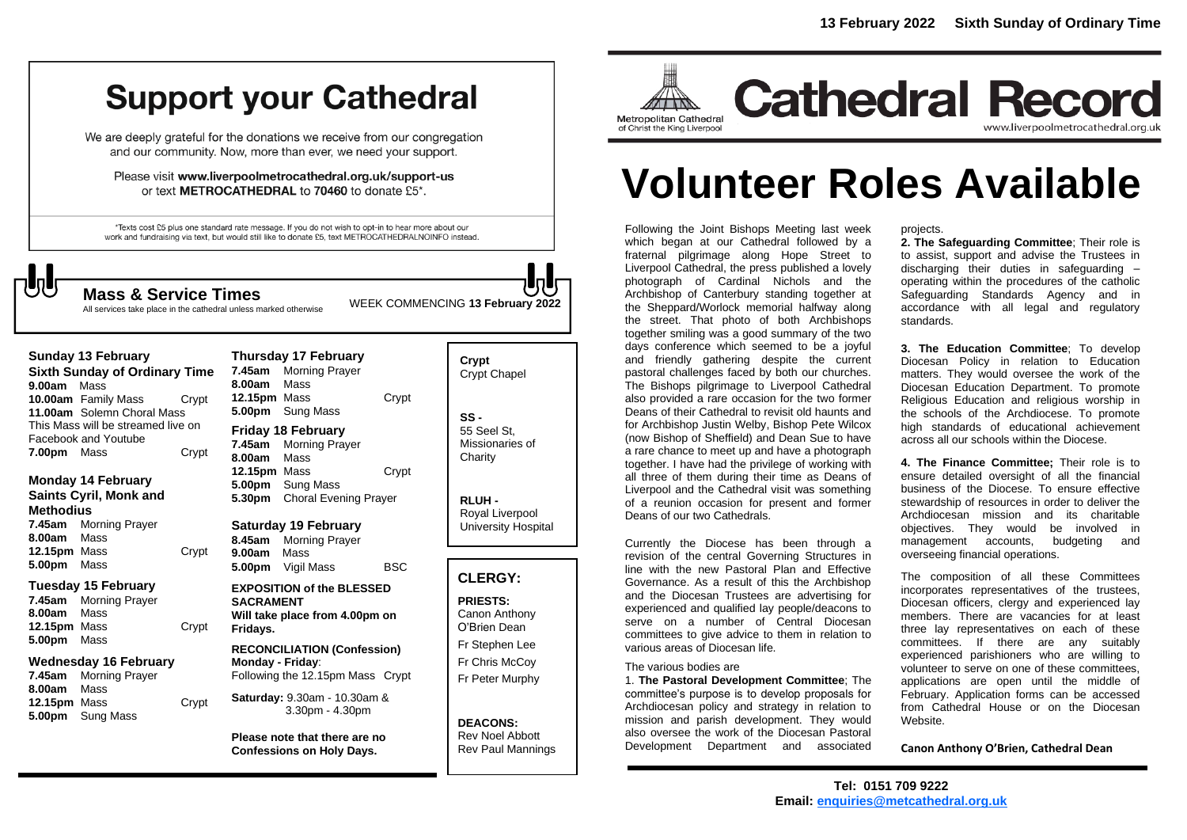# **Support your Cathedral**

We are deeply grateful for the donations we receive from our congregation and our community. Now, more than ever, we need your support.

Please visit www.liverpoolmetrocathedral.org.uk/support-us or text METROCATHEDRAL to 70460 to donate £5\*.

\*Texts cost £5 plus one standard rate message. If you do not wish to opt-in to hear more about our work and fundraising via text, but would still like to donate £5, text METROCATHEDRALNOINFO instead.

All services take place in the cathedral unless marked otherwise

WEEK COMMENCING **<sup>13</sup> February <sup>2022</sup> Mass & Service Times**

**Sunday 13 February Sixth Sunday of Ordinary Time 9.00am** Mass **10.00am** Family Mass Crypt **11.00am** Solemn Choral Mass This Mass will be streamed live on Facebook and Youtube **7.00pm** Mass Crypt

**Monday 14 February Saints Cyril, Monk and Methodius 7.45am** Morning Prayer

**8.00am** Mass **12.15pm** Mass Crypt **5.00pm** Mass

#### **Tuesday 15 February**

**7.45am** Morning Prayer **8.00am** Mass **12.15pm** Mass Crypt **5.00pm** Mass

#### **Wednesday 16 February**

**7.45am** Morning Prayer **8.00am** Mass **12.15pm** Mass **Crypt 5.00pm** Sung Mass

#### **Thursday 17 February 7.45am** Morning Prayer **8.00am** Mass **12.15pm** Mass Crypt **5.00pm** Sung Mass **Friday 18 February 7.45am** Morning Prayer **8.00am** Mass **12.15pm** Mass Crypt **5.00pm** Sung Mass

**5.30pm** Choral Evening Prayer

**Saturday 19 February 8.45am** Morning Prayer **9.00am** Mass

**5.00pm** Vigil Mass BSC **EXPOSITION of the BLESSED SACRAMENT Will take place from 4.00pm on Fridays.**

**RECONCILIATION (Confession) Monday - Friday**: Following the 12.15pm Mass Crypt

**Saturday:** 9.30am - 10.30am & 3.30pm - 4.30pm

**Please note that there are no Confessions on Holy Days.**

## **Crypt**  Crypt Chapel **SS -** 55 Seel St, Missionaries of **Charity**

**RLUH -** Royal Liverpool University Hospital

#### **CLERGY:**

**PRIESTS:** Canon Anthony O'Brien *Dean*

Fr Stephen Lee Fr Chris McCoy Fr Peter Murphy

**DEACONS:** Rev Noel Abbott Rev Paul Mannings



**Cathedral Record** www.liverpoolmetrocathedral.org.uk

# **Volunteer Roles Available**

Following the Joint Bishops Meeting last week which began at our Cathedral followed by a fraternal pilgrimage along Hope Street to Liverpool Cathedral, the press published a lovely photograph of Cardinal Nichols and the Archbishop of Canterbury standing together at the Sheppard/Worlock memorial halfway along the street. That photo of both Archbishops together smiling was a good summary of the two days conference which seemed to be a joyful and friendly gathering despite the current pastoral challenges faced by both our churches. The Bishops pilgrimage to Liverpool Cathedral also provided a rare occasion for the two former Deans of their Cathedral to revisit old haunts and for Archbishop Justin Welby, Bishop Pete Wilcox (now Bishop of Sheffield) and Dean Sue to have a rare chance to meet up and have a photograph together. I have had the privilege of working with all three of them during their time as Deans of Liverpool and the Cathedral visit was something of a reunion occasion for present and former Deans of our two Cathedrals.

Currently the Diocese has been through a revision of the central Governing Structures in line with the new Pastoral Plan and Effective Governance. As a result of this the Archbishop and the Diocesan Trustees are advertising for experienced and qualified lay people/deacons to serve on a number of Central Diocesan committees to give advice to them in relation to various areas of Diocesan life.

#### The various bodies are

1. **The Pastoral Development Committee**; The committee's purpose is to develop proposals for Archdiocesan policy and strategy in relation to mission and parish development. They would also oversee the work of the Diocesan Pastoral Development Department and associated

projects.

**2. The Safeguarding Committee**; Their role is to assist, support and advise the Trustees in discharging their duties in safeguarding – operating within the procedures of the catholic Safeguarding Standards Agency and in accordance with all legal and regulatory standards.

**3. The Education Committee**; To develop Diocesan Policy in relation to Education matters. They would oversee the work of the Diocesan Education Department. To promote Religious Education and religious worship in the schools of the Archdiocese. To promote high standards of educational achievement across all our schools within the Diocese.

**4. The Finance Committee;** Their role is to ensure detailed oversight of all the financial business of the Diocese. To ensure effective stewardship of resources in order to deliver the Archdiocesan mission and its charitable objectives. They would be involved in management accounts, budgeting and overseeing financial operations.

The composition of all these Committees incorporates representatives of the trustees, Diocesan officers, clergy and experienced lay members. There are vacancies for at least three lay representatives on each of these committees. If there are any suitably experienced parishioners who are willing to volunteer to serve on one of these committees, applications are open until the middle of February. Application forms can be accessed from Cathedral House or on the Diocesan Website.

**Canon Anthony O'Brien, Cathedral Dean**